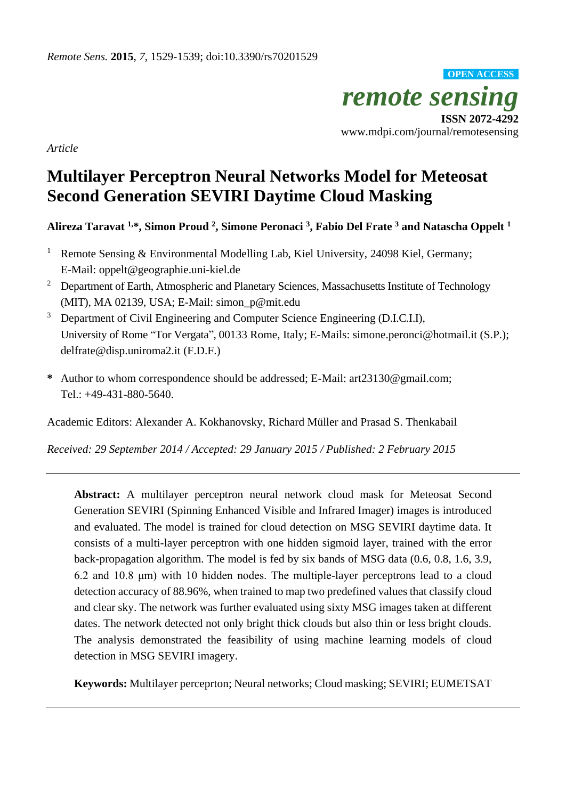*remote sensing* **ISSN 2072-4292** www.mdpi.com/journal/remotesensing **OPEN ACCESS**

*Article*

# **Multilayer Perceptron Neural Networks Model for Meteosat Second Generation SEVIRI Daytime Cloud Masking**

## **Alireza Taravat 1,\*, Simon Proud <sup>2</sup> , Simone Peronaci <sup>3</sup> , Fabio Del Frate <sup>3</sup> and Natascha Oppelt <sup>1</sup>**

- <sup>1</sup> Remote Sensing & Environmental Modelling Lab, Kiel University, 24098 Kiel, Germany; E-Mail: oppelt@geographie.uni-kiel.de
- <sup>2</sup> Department of Earth, Atmospheric and Planetary Sciences, Massachusetts Institute of Technology (MIT), MA 02139, USA; E-Mail: simon\_p@mit.edu
- <sup>3</sup> Department of Civil Engineering and Computer Science Engineering (D.I.C.I.I), University of Rome "Tor Vergata", 00133 Rome, Italy; E-Mails: simone.peronci@hotmail.it (S.P.); delfrate@disp.uniroma2.it (F.D.F.)
- **\*** Author to whom correspondence should be addressed; E-Mail: art23130@gmail.com; Tel.: +49-431-880-5640.

Academic Editors: Alexander A. Kokhanovsky, Richard Müller and Prasad S. Thenkabail

*Received: 29 September 2014 / Accepted: 29 January 2015 / Published: 2 February 2015*

**Abstract:** A multilayer perceptron neural network cloud mask for Meteosat Second Generation SEVIRI (Spinning Enhanced Visible and Infrared Imager) images is introduced and evaluated. The model is trained for cloud detection on MSG SEVIRI daytime data. It consists of a multi-layer perceptron with one hidden sigmoid layer, trained with the error back-propagation algorithm. The model is fed by six bands of MSG data (0.6, 0.8, 1.6, 3.9, 6.2 and 10.8 μm) with 10 hidden nodes. The multiple-layer perceptrons lead to a cloud detection accuracy of 88.96%, when trained to map two predefined values that classify cloud and clear sky. The network was further evaluated using sixty MSG images taken at different dates. The network detected not only bright thick clouds but also thin or less bright clouds. The analysis demonstrated the feasibility of using machine learning models of cloud detection in MSG SEVIRI imagery.

**Keywords:** Multilayer perceprton; Neural networks; Cloud masking; SEVIRI; EUMETSAT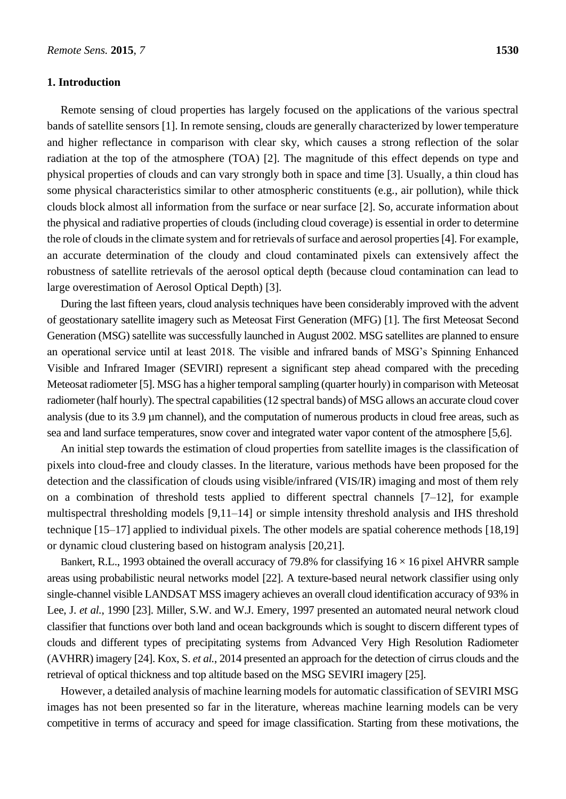#### **1. Introduction**

Remote sensing of cloud properties has largely focused on the applications of the various spectral bands of satellite sensors [1]. In remote sensing, clouds are generally characterized by lower temperature and higher reflectance in comparison with clear sky, which causes a strong reflection of the solar radiation at the top of the atmosphere (TOA) [2]. The magnitude of this effect depends on type and physical properties of clouds and can vary strongly both in space and time [3]. Usually, a thin cloud has some physical characteristics similar to other atmospheric constituents (e.g., air pollution), while thick clouds block almost all information from the surface or near surface [2]. So, accurate information about the physical and radiative properties of clouds (including cloud coverage) is essential in order to determine the role of clouds in the climate system and for retrievals of surface and aerosol properties [4]. For example, an accurate determination of the cloudy and cloud contaminated pixels can extensively affect the robustness of satellite retrievals of the aerosol optical depth (because cloud contamination can lead to large overestimation of Aerosol Optical Depth) [3].

During the last fifteen years, cloud analysis techniques have been considerably improved with the advent of geostationary satellite imagery such as Meteosat First Generation (MFG) [1]. The first Meteosat Second Generation (MSG) satellite was successfully launched in August 2002. MSG satellites are planned to ensure an operational service until at least 2018. The visible and infrared bands of MSG's Spinning Enhanced Visible and Infrared Imager (SEVIRI) represent a significant step ahead compared with the preceding Meteosat radiometer [5]. MSG has a higher temporal sampling (quarter hourly) in comparison with Meteosat radiometer (half hourly). The spectral capabilities (12 spectral bands) of MSG allows an accurate cloud cover analysis (due to its 3.9 µm channel), and the computation of numerous products in cloud free areas, such as sea and land surface temperatures, snow cover and integrated water vapor content of the atmosphere [5,6].

An initial step towards the estimation of cloud properties from satellite images is the classification of pixels into cloud-free and cloudy classes. In the literature, various methods have been proposed for the detection and the classification of clouds using visible/infrared (VIS/IR) imaging and most of them rely on a combination of threshold tests applied to different spectral channels [7–12], for example multispectral thresholding models [9,11–14] or simple intensity threshold analysis and IHS threshold technique [15–17] applied to individual pixels. The other models are spatial coherence methods [18,19] or dynamic cloud clustering based on histogram analysis [20,21].

Bankert, R.L., 1993 obtained the overall accuracy of 79.8% for classifying  $16 \times 16$  pixel AHVRR sample areas using probabilistic neural networks model [22]. A texture-based neural network classifier using only single-channel visible LANDSAT MSS imagery achieves an overall cloud identification accuracy of 93% in Lee, J. *et al.*, 1990 [23]. Miller, S.W. and W.J. Emery, 1997 presented an automated neural network cloud classifier that functions over both land and ocean backgrounds which is sought to discern different types of clouds and different types of precipitating systems from Advanced Very High Resolution Radiometer (AVHRR) imagery [24]. Kox, S. *et al.*, 2014 presented an approach for the detection of cirrus clouds and the retrieval of optical thickness and top altitude based on the MSG SEVIRI imagery [25].

However, a detailed analysis of machine learning models for automatic classification of SEVIRI MSG images has not been presented so far in the literature, whereas machine learning models can be very competitive in terms of accuracy and speed for image classification. Starting from these motivations, the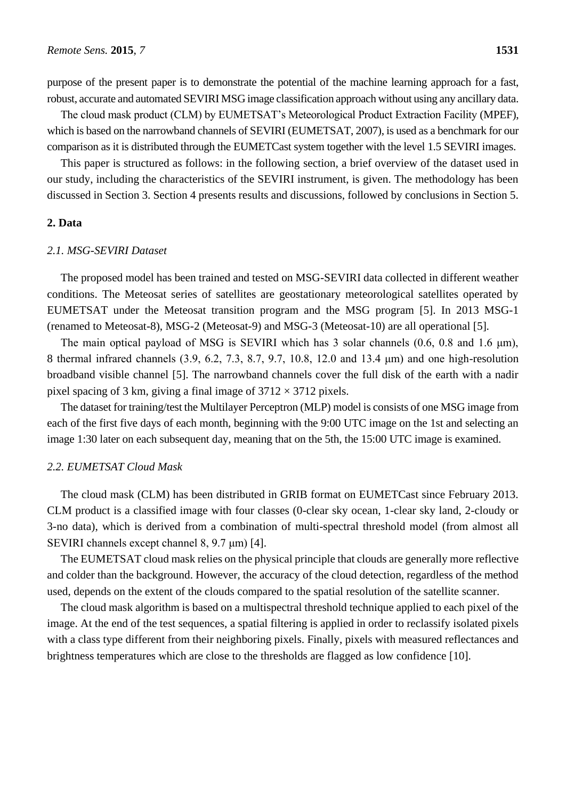purpose of the present paper is to demonstrate the potential of the machine learning approach for a fast, robust, accurate and automated SEVIRI MSG image classification approach without using any ancillary data.

The cloud mask product (CLM) by EUMETSAT's Meteorological Product Extraction Facility (MPEF), which is based on the narrowband channels of SEVIRI (EUMETSAT, 2007), is used as a benchmark for our comparison as it is distributed through the EUMETCast system together with the level 1.5 SEVIRI images.

This paper is structured as follows: in the following section, a brief overview of the dataset used in our study, including the characteristics of the SEVIRI instrument, is given. The methodology has been discussed in Section 3. Section 4 presents results and discussions, followed by conclusions in Section 5.

## **2. Data**

#### *2.1. MSG-SEVIRI Dataset*

The proposed model has been trained and tested on MSG-SEVIRI data collected in different weather conditions. The Meteosat series of satellites are geostationary meteorological satellites operated by EUMETSAT under the Meteosat transition program and the MSG program [5]. In 2013 MSG-1 (renamed to Meteosat-8), MSG-2 (Meteosat-9) and MSG-3 (Meteosat-10) are all operational [5].

The main optical payload of MSG is SEVIRI which has 3 solar channels (0.6, 0.8 and 1.6 μm), 8 thermal infrared channels (3.9, 6.2, 7.3, 8.7, 9.7, 10.8, 12.0 and 13.4 μm) and one high-resolution broadband visible channel [5]. The narrowband channels cover the full disk of the earth with a nadir pixel spacing of 3 km, giving a final image of  $3712 \times 3712$  pixels.

The dataset for training/test the Multilayer Perceptron (MLP) model is consists of one MSG image from each of the first five days of each month, beginning with the 9:00 UTC image on the 1st and selecting an image 1:30 later on each subsequent day, meaning that on the 5th, the 15:00 UTC image is examined.

#### *2.2. EUMETSAT Cloud Mask*

The cloud mask (CLM) has been distributed in GRIB format on EUMETCast since February 2013. CLM product is a classified image with four classes (0-clear sky ocean, 1-clear sky land, 2-cloudy or 3-no data), which is derived from a combination of multi-spectral threshold model (from almost all SEVIRI channels except channel 8, 9.7 μm) [4].

The EUMETSAT cloud mask relies on the physical principle that clouds are generally more reflective and colder than the background. However, the accuracy of the cloud detection, regardless of the method used, depends on the extent of the clouds compared to the spatial resolution of the satellite scanner.

The cloud mask algorithm is based on a multispectral threshold technique applied to each pixel of the image. At the end of the test sequences, a spatial filtering is applied in order to reclassify isolated pixels with a class type different from their neighboring pixels. Finally, pixels with measured reflectances and brightness temperatures which are close to the thresholds are flagged as low confidence [10].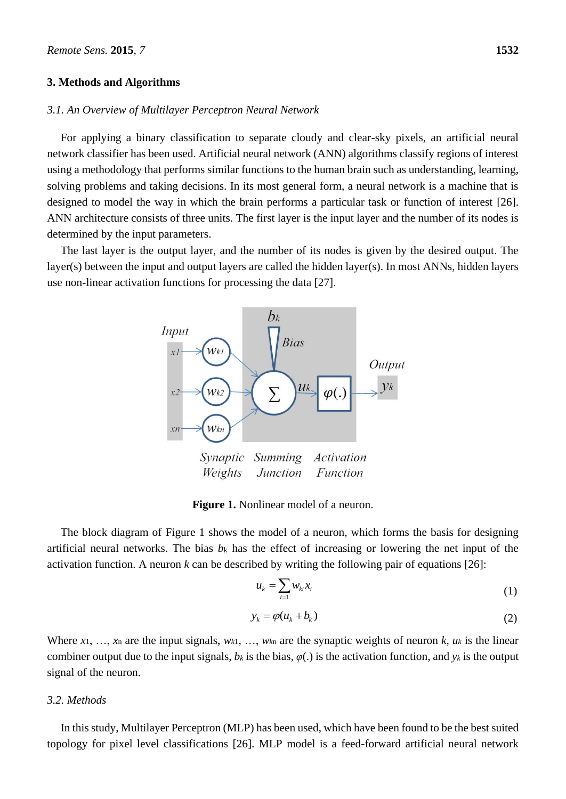#### **3. Methods and Algorithms**

#### *3.1. An Overview of Multilayer Perceptron Neural Network*

For applying a binary classification to separate cloudy and clear-sky pixels, an artificial neural network classifier has been used. Artificial neural network (ANN) algorithms classify regions of interest using a methodology that performs similar functions to the human brain such as understanding, learning, solving problems and taking decisions. In its most general form, a neural network is a machine that is designed to model the way in which the brain performs a particular task or function of interest [26]. ANN architecture consists of three units. The first layer is the input layer and the number of its nodes is determined by the input parameters.

The last layer is the output layer, and the number of its nodes is given by the desired output. The layer(s) between the input and output layers are called the hidden layer(s). In most ANNs, hidden layers use non-linear activation functions for processing the data [27].



**Figure 1.** Nonlinear model of a neuron.

The block diagram of Figure 1 shows the model of a neuron, which forms the basis for designing artificial neural networks. The bias  $b_k$  has the effect of increasing or lowering the net input of the activation function. A neuron *k* can be described by writing the following pair of equations [26]:

$$
u_k = \sum_{i=1} w_{ki} x_i \tag{1}
$$

$$
y_k = \varphi(u_k + b_k) \tag{2}
$$

Where  $x_1, \ldots, x_n$  are the input signals,  $w_{k1}, \ldots, w_{kn}$  are the synaptic weights of neuron  $k, u_k$  is the linear combiner output due to the input signals,  $b_k$  is the bias,  $\varphi(.)$  is the activation function, and  $y_k$  is the output signal of the neuron.

#### *3.2. Methods*

In this study, Multilayer Perceptron (MLP) has been used, which have been found to be the best suited topology for pixel level classifications [26]. MLP model is a feed-forward artificial neural network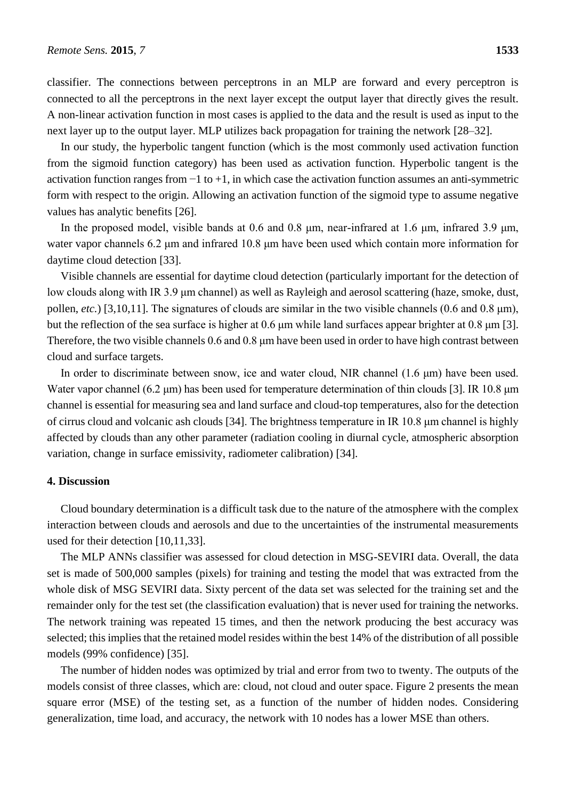classifier. The connections between perceptrons in an MLP are forward and every perceptron is connected to all the perceptrons in the next layer except the output layer that directly gives the result. A non-linear activation function in most cases is applied to the data and the result is used as input to the next layer up to the output layer. MLP utilizes back propagation for training the network [28–32].

In our study, the hyperbolic tangent function (which is the most commonly used activation function from the sigmoid function category) has been used as activation function. Hyperbolic tangent is the activation function ranges from  $-1$  to  $+1$ , in which case the activation function assumes an anti-symmetric form with respect to the origin. Allowing an activation function of the sigmoid type to assume negative values has analytic benefits [26].

In the proposed model, visible bands at 0.6 and 0.8 μm, near-infrared at 1.6 μm, infrared 3.9 μm, water vapor channels 6.2 μm and infrared 10.8 μm have been used which contain more information for daytime cloud detection [33].

Visible channels are essential for daytime cloud detection (particularly important for the detection of low clouds along with IR 3.9 μm channel) as well as Rayleigh and aerosol scattering (haze, smoke, dust, pollen, *etc.*) [3,10,11]. The signatures of clouds are similar in the two visible channels (0.6 and 0.8 μm), but the reflection of the sea surface is higher at 0.6 μm while land surfaces appear brighter at 0.8 μm [3]. Therefore, the two visible channels 0.6 and 0.8 μm have been used in order to have high contrast between cloud and surface targets.

In order to discriminate between snow, ice and water cloud, NIR channel (1.6 μm) have been used. Water vapor channel (6.2 μm) has been used for temperature determination of thin clouds [3]. IR 10.8 μm channel is essential for measuring sea and land surface and cloud-top temperatures, also for the detection of cirrus cloud and volcanic ash clouds [34]. The brightness temperature in IR 10.8 μm channel is highly affected by clouds than any other parameter (radiation cooling in diurnal cycle, atmospheric absorption variation, change in surface emissivity, radiometer calibration) [34].

#### **4. Discussion**

Cloud boundary determination is a difficult task due to the nature of the atmosphere with the complex interaction between clouds and aerosols and due to the uncertainties of the instrumental measurements used for their detection [10,11,33].

The MLP ANNs classifier was assessed for cloud detection in MSG-SEVIRI data. Overall, the data set is made of 500,000 samples (pixels) for training and testing the model that was extracted from the whole disk of MSG SEVIRI data. Sixty percent of the data set was selected for the training set and the remainder only for the test set (the classification evaluation) that is never used for training the networks. The network training was repeated 15 times, and then the network producing the best accuracy was selected; this implies that the retained model resides within the best 14% of the distribution of all possible models (99% confidence) [35].

The number of hidden nodes was optimized by trial and error from two to twenty. The outputs of the models consist of three classes, which are: cloud, not cloud and outer space. Figure 2 presents the mean square error (MSE) of the testing set, as a function of the number of hidden nodes. Considering generalization, time load, and accuracy, the network with 10 nodes has a lower MSE than others.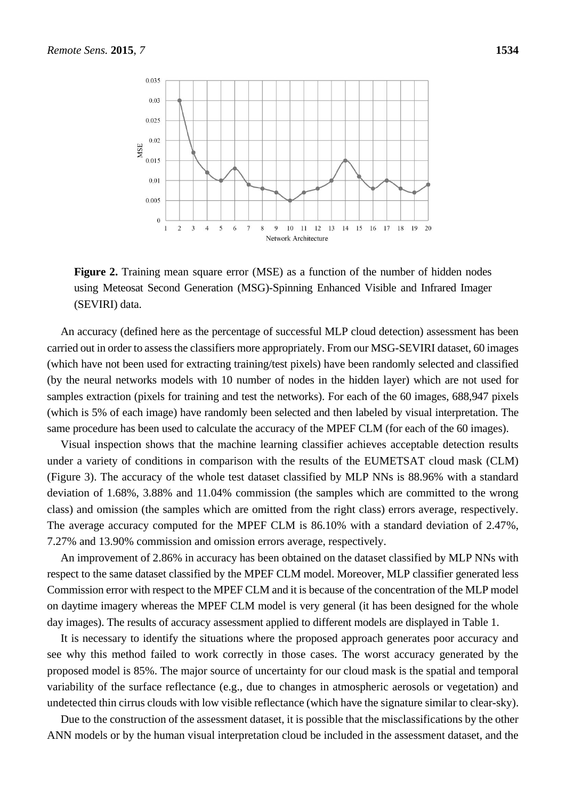

**Figure 2.** Training mean square error (MSE) as a function of the number of hidden nodes using Meteosat Second Generation (MSG)-Spinning Enhanced Visible and Infrared Imager (SEVIRI) data.

An accuracy (defined here as the percentage of successful MLP cloud detection) assessment has been carried out in order to assess the classifiers more appropriately. From our MSG-SEVIRI dataset, 60 images (which have not been used for extracting training/test pixels) have been randomly selected and classified (by the neural networks models with 10 number of nodes in the hidden layer) which are not used for samples extraction (pixels for training and test the networks). For each of the 60 images, 688,947 pixels (which is 5% of each image) have randomly been selected and then labeled by visual interpretation. The same procedure has been used to calculate the accuracy of the MPEF CLM (for each of the 60 images).

Visual inspection shows that the machine learning classifier achieves acceptable detection results under a variety of conditions in comparison with the results of the EUMETSAT cloud mask (CLM) (Figure 3). The accuracy of the whole test dataset classified by MLP NNs is 88.96% with a standard deviation of 1.68%, 3.88% and 11.04% commission (the samples which are committed to the wrong class) and omission (the samples which are omitted from the right class) errors average, respectively. The average accuracy computed for the MPEF CLM is 86.10% with a standard deviation of 2.47%, 7.27% and 13.90% commission and omission errors average, respectively.

An improvement of 2.86% in accuracy has been obtained on the dataset classified by MLP NNs with respect to the same dataset classified by the MPEF CLM model. Moreover, MLP classifier generated less Commission error with respect to the MPEF CLM and it is because of the concentration of the MLP model on daytime imagery whereas the MPEF CLM model is very general (it has been designed for the whole day images). The results of accuracy assessment applied to different models are displayed in Table 1.

It is necessary to identify the situations where the proposed approach generates poor accuracy and see why this method failed to work correctly in those cases. The worst accuracy generated by the proposed model is 85%. The major source of uncertainty for our cloud mask is the spatial and temporal variability of the surface reflectance (e.g., due to changes in atmospheric aerosols or vegetation) and undetected thin cirrus clouds with low visible reflectance (which have the signature similar to clear-sky).

Due to the construction of the assessment dataset, it is possible that the misclassifications by the other ANN models or by the human visual interpretation cloud be included in the assessment dataset, and the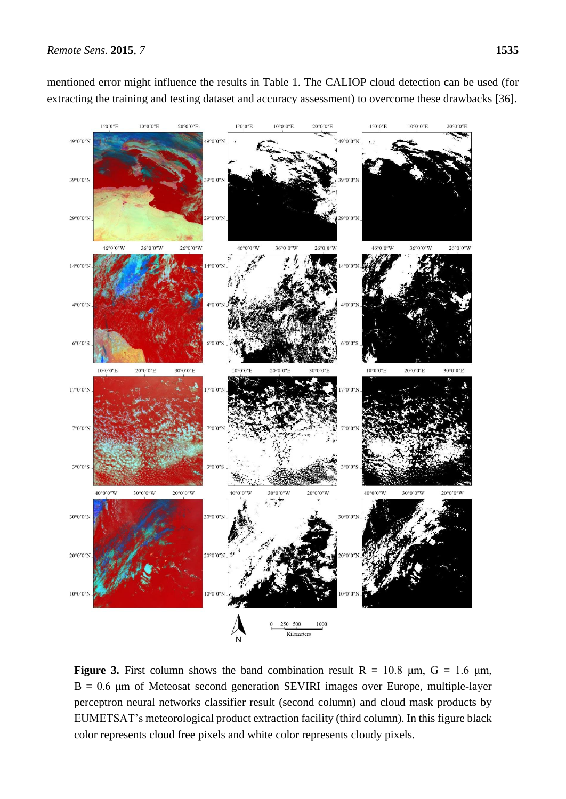

**Figure 3.** First column shows the band combination result  $R = 10.8$  μm,  $G = 1.6$  μm,  $B = 0.6$  μm of Meteosat second generation SEVIRI images over Europe, multiple-layer perceptron neural networks classifier result (second column) and cloud mask products by EUMETSAT's meteorological product extraction facility (third column). In this figure black color represents cloud free pixels and white color represents cloudy pixels.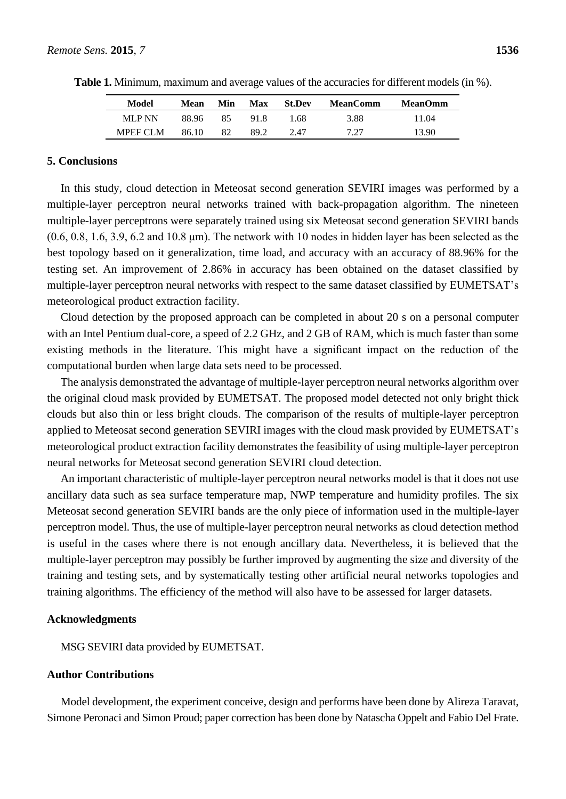| Model           | Mean  | Min | Max  | <b>St.Dev</b> | <b>MeanComm</b> | <b>MeanOmm</b> |
|-----------------|-------|-----|------|---------------|-----------------|----------------|
| MLP NN          | 88.96 | 85  | 91.8 | 1.68          | 3.88            | 11.04          |
| <b>MPEF CLM</b> | 86.10 | 82  | 89.2 | 2.47          | 7.27            | 13.90          |

**Table 1.** Minimum, maximum and average values of the accuracies for different models (in %).

#### **5. Conclusions**

In this study, cloud detection in Meteosat second generation SEVIRI images was performed by a multiple-layer perceptron neural networks trained with back-propagation algorithm. The nineteen multiple-layer perceptrons were separately trained using six Meteosat second generation SEVIRI bands  $(0.6, 0.8, 1.6, 3.9, 6.2, and 10.8 \text{ µm})$ . The network with 10 nodes in hidden layer has been selected as the best topology based on it generalization, time load, and accuracy with an accuracy of 88.96% for the testing set. An improvement of 2.86% in accuracy has been obtained on the dataset classified by multiple-layer perceptron neural networks with respect to the same dataset classified by EUMETSAT's meteorological product extraction facility.

Cloud detection by the proposed approach can be completed in about 20 s on a personal computer with an Intel Pentium dual-core, a speed of 2.2 GHz, and 2 GB of RAM, which is much faster than some existing methods in the literature. This might have a significant impact on the reduction of the computational burden when large data sets need to be processed.

The analysis demonstrated the advantage of multiple-layer perceptron neural networks algorithm over the original cloud mask provided by EUMETSAT. The proposed model detected not only bright thick clouds but also thin or less bright clouds. The comparison of the results of multiple-layer perceptron applied to Meteosat second generation SEVIRI images with the cloud mask provided by EUMETSAT's meteorological product extraction facility demonstrates the feasibility of using multiple-layer perceptron neural networks for Meteosat second generation SEVIRI cloud detection.

An important characteristic of multiple-layer perceptron neural networks model is that it does not use ancillary data such as sea surface temperature map, NWP temperature and humidity profiles. The six Meteosat second generation SEVIRI bands are the only piece of information used in the multiple-layer perceptron model. Thus, the use of multiple-layer perceptron neural networks as cloud detection method is useful in the cases where there is not enough ancillary data. Nevertheless, it is believed that the multiple-layer perceptron may possibly be further improved by augmenting the size and diversity of the training and testing sets, and by systematically testing other artificial neural networks topologies and training algorithms. The efficiency of the method will also have to be assessed for larger datasets.

#### **Acknowledgments**

MSG SEVIRI data provided by EUMETSAT.

#### **Author Contributions**

Model development, the experiment conceive, design and performs have been done by Alireza Taravat, Simone Peronaci and Simon Proud; paper correction has been done by Natascha Oppelt and Fabio Del Frate.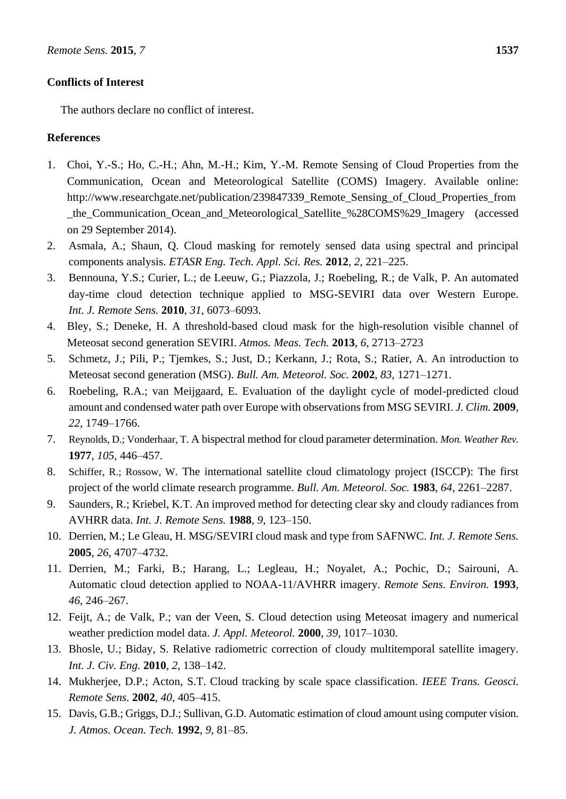## **Conflicts of Interest**

The authors declare no conflict of interest.

## **References**

- 1. Choi, Y.-S.; Ho, C.-H.; Ahn, M.-H.; Kim, Y.-M. Remote Sensing of Cloud Properties from the Communication, Ocean and Meteorological Satellite (COMS) Imagery. Available online: http://www.researchgate.net/publication/239847339\_Remote\_Sensing\_of\_Cloud\_Properties\_from \_the\_Communication\_Ocean\_and\_Meteorological\_Satellite\_%28COMS%29\_Imagery (accessed on 29 September 2014).
- 2. Asmala, A.; Shaun, Q. Cloud masking for remotely sensed data using spectral and principal components analysis. *ETASR Eng. Tech. Appl. Sci. Res.* **2012**, *2*, 221–225.
- 3. Bennouna, Y.S.; Curier, L.; de Leeuw, G.; Piazzola, J.; Roebeling, R.; de Valk, P. An automated day-time cloud detection technique applied to MSG-SEVIRI data over Western Europe. *Int. J. Remote Sens.* **2010**, *31*, 6073–6093.
- 4. Bley, S.; Deneke, H. A threshold-based cloud mask for the high-resolution visible channel of Meteosat second generation SEVIRI. *Atmos. Meas. Tech.* **2013**, *6*, 2713–2723
- 5. Schmetz, J.; Pili, P.; Tjemkes, S.; Just, D.; Kerkann, J.; Rota, S.; Ratier, A. An introduction to Meteosat second generation (MSG). *Bull. Am. Meteorol. Soc.* **2002**, *83*, 1271–1271.
- 6. Roebeling, R.A.; van Meijgaard, E. Evaluation of the daylight cycle of model-predicted cloud amount and condensed water path over Europe with observations from MSG SEVIRI. *J. Clim.* **2009**, *22*, 1749–1766.
- 7. Reynolds, D.; Vonderhaar, T. A bispectral method for cloud parameter determination. *Mon. Weather Rev.* **1977**, *105*, 446–457.
- 8. Schiffer, R.; Rossow, W. The international satellite cloud climatology project (ISCCP): The first project of the world climate research programme. *Bull. Am. Meteorol. Soc.* **1983**, *64*, 2261–2287.
- 9. Saunders, R.; Kriebel, K.T. An improved method for detecting clear sky and cloudy radiances from AVHRR data. *Int. J. Remote Sens.* **1988**, *9*, 123–150.
- 10. Derrien, M.; Le Gleau, H. MSG/SEVIRI cloud mask and type from SAFNWC. *Int. J. Remote Sens.*  **2005**, *26*, 4707–4732.
- 11. Derrien, M.; Farki, B.; Harang, L.; Legleau, H.; Noyalet, A.; Pochic, D.; Sairouni, A. Automatic cloud detection applied to NOAA-11/AVHRR imagery. *Remote Sens. Environ.* **1993**, *46*, 246–267.
- 12. Feijt, A.; de Valk, P.; van der Veen, S. Cloud detection using Meteosat imagery and numerical weather prediction model data. *J. Appl. Meteorol.* **2000**, *39*, 1017–1030.
- 13. Bhosle, U.; Biday, S. Relative radiometric correction of cloudy multitemporal satellite imagery. *Int. J. Civ. Eng.* **2010**, *2*, 138–142.
- 14. Mukherjee, D.P.; Acton, S.T. Cloud tracking by scale space classification. *IEEE Trans. Geosci. Remote Sens.* **2002**, *40*, 405–415.
- 15. Davis, G.B.; Griggs, D.J.; Sullivan, G.D. Automatic estimation of cloud amount using computer vision. *J. Atmos. Ocean. Tech.* **1992**, *9*, 81–85.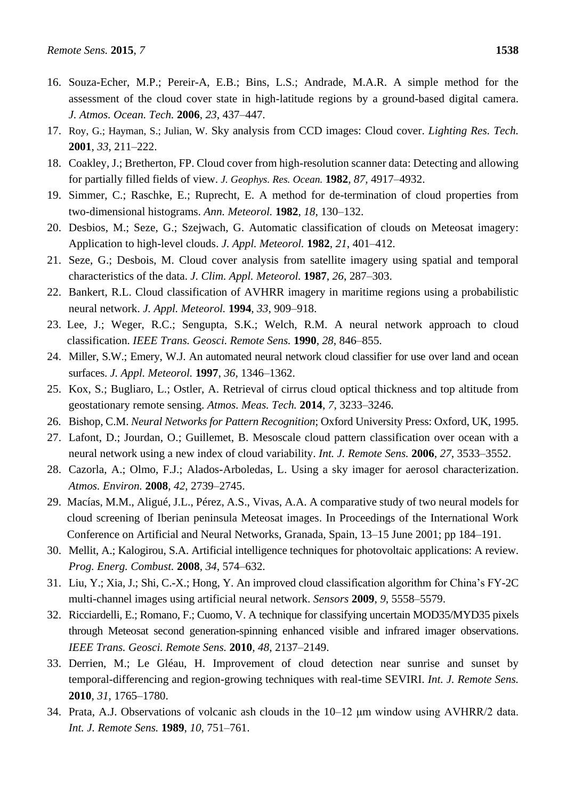- 16. Souza-Echer, M.P.; Pereir-A, E.B.; Bins, L.S.; Andrade, M.A.R. A simple method for the assessment of the cloud cover state in high-latitude regions by a ground-based digital camera. *J. Atmos. Ocean. Tech.* **2006**, *23*, 437–447.
- 17. Roy, G.; Hayman, S.; Julian, W. Sky analysis from CCD images: Cloud cover. *Lighting Res. Tech.* **2001**, *33*, 211–222.
- 18. Coakley, J.; Bretherton, FP. Cloud cover from high-resolution scanner data: Detecting and allowing for partially filled fields of view. *J. Geophys. Res. Ocean.* **1982**, *87*, 4917–4932.
- 19. Simmer, C.; Raschke, E.; Ruprecht, E. A method for de-termination of cloud properties from two-dimensional histograms. *Ann. Meteorol.* **1982**, *18*, 130–132.
- 20. Desbios, M.; Seze, G.; Szejwach, G. Automatic classification of clouds on Meteosat imagery: Application to high-level clouds. *J. Appl. Meteorol.* **1982**, *21*, 401–412.
- 21. Seze, G.; Desbois, M. Cloud cover analysis from satellite imagery using spatial and temporal characteristics of the data. *J. Clim. Appl. Meteorol.* **1987**, *26*, 287–303.
- 22. Bankert, R.L. Cloud classification of AVHRR imagery in maritime regions using a probabilistic neural network. *J. Appl. Meteorol.* **1994**, *33*, 909–918.
- 23. Lee, J.; Weger, R.C.; Sengupta, S.K.; Welch, R.M. A neural network approach to cloud classification. *IEEE Trans. Geosci. Remote Sens.* **1990**, *28*, 846–855.
- 24. Miller, S.W.; Emery, W.J. An automated neural network cloud classifier for use over land and ocean surfaces. *J. Appl. Meteorol.* **1997**, *36*, 1346–1362.
- 25. Kox, S.; Bugliaro, L.; Ostler, A. Retrieval of cirrus cloud optical thickness and top altitude from geostationary remote sensing. *Atmos. Meas. Tech.* **2014**, *7*, 3233–3246.
- 26. Bishop, C.M. *Neural Networks for Pattern Recognition*; Oxford University Press: Oxford, UK, 1995.
- 27. Lafont, D.; Jourdan, O.; Guillemet, B. Mesoscale cloud pattern classification over ocean with a neural network using a new index of cloud variability. *Int. J. Remote Sens.* **2006**, *27*, 3533–3552.
- 28. Cazorla, A.; Olmo, F.J.; Alados-Arboledas, L. Using a sky imager for aerosol characterization. *Atmos. Environ.* **2008**, *42*, 2739–2745.
- 29. Macías, M.M., Aligué, J.L., Pérez, A.S., Vivas, A.A. A comparative study of two neural models for cloud screening of Iberian peninsula Meteosat images. In Proceedings of the International Work Conference on Artificial and Neural Networks, Granada, Spain, 13–15 June 2001; pp 184–191.
- 30. Mellit, A.; Kalogirou, S.A. Artificial intelligence techniques for photovoltaic applications: A review. *Prog. Energ. Combust.* **2008**, *34*, 574–632.
- 31. Liu, Y.; Xia, J.; Shi, C.-X.; Hong, Y. An improved cloud classification algorithm for China's FY-2C multi-channel images using artificial neural network. *Sensors* **2009**, *9*, 5558–5579.
- 32. Ricciardelli, E.; Romano, F.; Cuomo, V. A technique for classifying uncertain MOD35/MYD35 pixels through Meteosat second generation-spinning enhanced visible and infrared imager observations. *IEEE Trans. Geosci. Remote Sens.* **2010**, *48*, 2137–2149.
- 33. Derrien, M.; Le Gléau, H. Improvement of cloud detection near sunrise and sunset by temporal-differencing and region-growing techniques with real-time SEVIRI. *Int. J. Remote Sens.* **2010**, *31*, 1765–1780.
- 34. Prata, A.J. Observations of volcanic ash clouds in the 10–12 μm window using AVHRR/2 data. *Int. J. Remote Sens.* **1989**, *10*, 751–761.